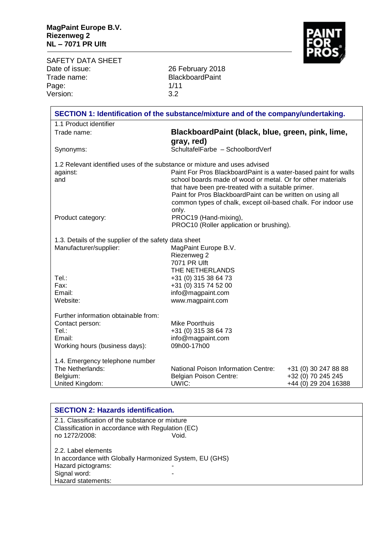SAFETY DATA SHEET<br>Date of issue: Date of issue: 26 February 2018 Trade name: BlackboardPaint Page: 1/11<br>Version: 3.2 Version:

| SECTION 1: Identification of the substance/mixture and of the company/undertaking. |                                                                 |                      |
|------------------------------------------------------------------------------------|-----------------------------------------------------------------|----------------------|
| 1.1 Product identifier                                                             |                                                                 |                      |
| Trade name:                                                                        | BlackboardPaint (black, blue, green, pink, lime,                |                      |
|                                                                                    | gray, red)                                                      |                      |
| Synonyms:                                                                          | SchultafelFarbe - SchoolbordVerf                                |                      |
| 1.2 Relevant identified uses of the substance or mixture and uses advised          |                                                                 |                      |
| against:                                                                           | Paint For Pros BlackboardPaint is a water-based paint for walls |                      |
| and                                                                                | school boards made of wood or metal. Or for other materials     |                      |
|                                                                                    | that have been pre-treated with a suitable primer.              |                      |
|                                                                                    | Paint for Pros BlackboardPaint can be written on using all      |                      |
|                                                                                    | common types of chalk, except oil-based chalk. For indoor use   |                      |
| Product category:                                                                  | only.<br>PROC19 (Hand-mixing),                                  |                      |
|                                                                                    | PROC10 (Roller application or brushing).                        |                      |
|                                                                                    |                                                                 |                      |
| 1.3. Details of the supplier of the safety data sheet                              |                                                                 |                      |
| Manufacturer/supplier:                                                             | MagPaint Europe B.V.                                            |                      |
|                                                                                    | Riezenweg 2                                                     |                      |
|                                                                                    | 7071 PR Ulft                                                    |                      |
| Tel.:                                                                              | THE NETHERLANDS                                                 |                      |
| Fax:                                                                               | +31 (0) 315 38 64 73<br>+31 (0) 315 74 52 00                    |                      |
| Email:                                                                             | info@magpaint.com                                               |                      |
| Website:                                                                           | www.magpaint.com                                                |                      |
|                                                                                    |                                                                 |                      |
| Further information obtainable from:                                               |                                                                 |                      |
| Contact person:                                                                    | Mike Poorthuis                                                  |                      |
| Tel.:<br>Email:                                                                    | +31 (0) 315 38 64 73                                            |                      |
| Working hours (business days):                                                     | info@magpaint.com<br>09h00-17h00                                |                      |
|                                                                                    |                                                                 |                      |
| 1.4. Emergency telephone number                                                    |                                                                 |                      |
| The Netherlands:                                                                   | <b>National Poison Information Centre:</b>                      | +31 (0) 30 247 88 88 |
| Belgium:                                                                           | Belgian Poison Centre:                                          | +32 (0) 70 245 245   |
| United Kingdom:                                                                    | UWIC:                                                           | +44 (0) 29 204 16388 |

| <b>SECTION 2: Hazards identification.</b>               |                                                 |  |  |
|---------------------------------------------------------|-------------------------------------------------|--|--|
|                                                         | 2.1. Classification of the substance or mixture |  |  |
| Classification in accordance with Regulation (EC)       |                                                 |  |  |
| no 1272/2008:                                           | Void.                                           |  |  |
|                                                         |                                                 |  |  |
| 2.2. Label elements                                     |                                                 |  |  |
| In accordance with Globally Harmonized System, EU (GHS) |                                                 |  |  |
| Hazard pictograms:                                      |                                                 |  |  |
| Signal word:                                            |                                                 |  |  |
| Hazard statements:                                      |                                                 |  |  |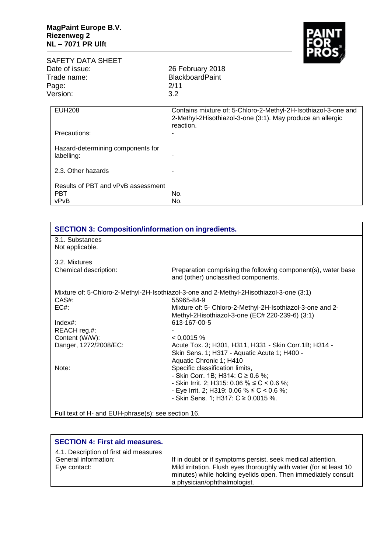

| SAFETY DATA SHEET    |                                                 | . .                                                                                                                                       |  |
|----------------------|-------------------------------------------------|-------------------------------------------------------------------------------------------------------------------------------------------|--|
|                      | Date of issue:                                  | 26 February 2018                                                                                                                          |  |
| Trade name:<br>Page: |                                                 | <b>BlackboardPaint</b><br>2/11                                                                                                            |  |
|                      |                                                 |                                                                                                                                           |  |
|                      | <b>EUH208</b>                                   | Contains mixture of: 5-Chloro-2-Methyl-2H-Isothiazol-3-one and<br>2-Methyl-2Hisothiazol-3-one (3:1). May produce an allergic<br>reaction. |  |
|                      | Precautions:                                    |                                                                                                                                           |  |
|                      | Hazard-determining components for<br>labelling: |                                                                                                                                           |  |

| l 2.3. Other hazards                                     | $\overline{\phantom{a}}$ |
|----------------------------------------------------------|--------------------------|
| Results of PBT and vPvB assessment<br><b>PBT</b><br>vPvB | No.<br>No.               |

| <b>SECTION 3: Composition/information on ingredients.</b> |                                                                                                              |
|-----------------------------------------------------------|--------------------------------------------------------------------------------------------------------------|
| 3.1. Substances<br>Not applicable.                        |                                                                                                              |
| 3.2. Mixtures                                             |                                                                                                              |
| Chemical description:                                     | Preparation comprising the following component(s), water base<br>and (other) unclassified components.        |
|                                                           | Mixture of: 5-Chloro-2-Methyl-2H-Isothiazol-3-one and 2-Methyl-2Hisothiazol-3-one (3:1)                      |
| CAS#:                                                     | 55965-84-9                                                                                                   |
| EC#                                                       | Mixture of: 5- Chloro-2-Methyl-2H-Isothiazol-3-one and 2-<br>Methyl-2Hisothiazol-3-one (EC# 220-239-6) (3:1) |
| $Index#$ :                                                | 613-167-00-5                                                                                                 |
| REACH reg.#:                                              |                                                                                                              |
| Content (W/W):                                            | < 0.0015 %                                                                                                   |
| Danger, 1272/2008/EC:                                     | Acute Tox. 3; H301, H311, H331 - Skin Corr.1B; H314 -<br>Skin Sens. 1; H317 - Aquatic Acute 1; H400 -        |
|                                                           | Aquatic Chronic 1; H410                                                                                      |
| Note:                                                     | Specific classification limits,                                                                              |
|                                                           | - Skin Corr. 1B; H314: $C \ge 0.6$ %;                                                                        |
|                                                           | - Skin Irrit. 2; H315: 0.06 % ≤ C < 0.6 %;                                                                   |
|                                                           | - Eye Irrit. 2; H319: 0.06 % $\leq C$ < 0.6 %;                                                               |
|                                                           | - Skin Sens. 1; H317: $C \ge 0.0015$ %.                                                                      |
|                                                           |                                                                                                              |
| Full text of H- and EUH-phrase(s): see section 16.        |                                                                                                              |

| <b>SECTION 4: First aid measures.</b>                                          |                                                                                                                                                                                                                                    |
|--------------------------------------------------------------------------------|------------------------------------------------------------------------------------------------------------------------------------------------------------------------------------------------------------------------------------|
| 4.1. Description of first aid measures<br>General information:<br>Eye contact: | If in doubt or if symptoms persist, seek medical attention.<br>Mild irritation. Flush eyes thoroughly with water (for at least 10<br>minutes) while holding eyelids open. Then immediately consult<br>a physician/ophthalmologist. |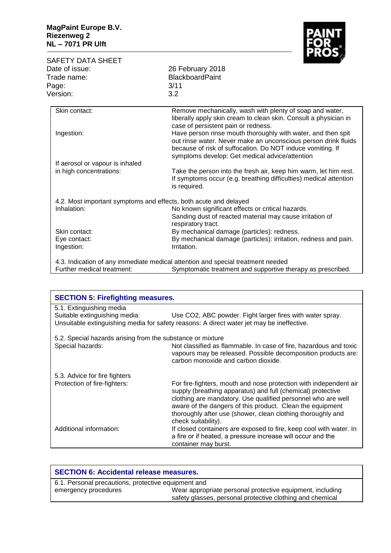

| <b>SAFETY DATA SHEET</b>                                         | <b>ROS</b>                                                                                                                                                                                   |
|------------------------------------------------------------------|----------------------------------------------------------------------------------------------------------------------------------------------------------------------------------------------|
| Date of issue:                                                   | 26 February 2018                                                                                                                                                                             |
| Trade name:                                                      | <b>BlackboardPaint</b>                                                                                                                                                                       |
| Page:                                                            | 3/11                                                                                                                                                                                         |
| Version:                                                         | 3.2                                                                                                                                                                                          |
|                                                                  |                                                                                                                                                                                              |
| Skin contact:                                                    | Remove mechanically, wash with plenty of soap and water,<br>liberally apply skin cream to clean skin. Consult a physician in<br>case of persistent pain or redness.                          |
| Ingestion:                                                       | Have person rinse mouth thoroughly with water, and then spit<br>out rinse water. Never make an unconscious person drink fluids<br>because of risk of suffocation. Do NOT induce vomiting. If |
|                                                                  | symptoms develop: Get medical advice/attention                                                                                                                                               |
| If aerosol or vapour is inhaled                                  |                                                                                                                                                                                              |
| in high concentrations:                                          | Take the person into the fresh air, keep him warm, let him rest.<br>If symptoms occur (e.g. breathing difficulties) medical attention<br>is required.                                        |
| 4.2. Most important symptoms and effects, both acute and delayed |                                                                                                                                                                                              |
| Inhalation:                                                      | No known significant effects or critical hazards.                                                                                                                                            |
|                                                                  | Sanding dust of reacted material may cause irritation of<br>respiratory tract.                                                                                                               |
| Skin contact:                                                    | By mechanical damage (particles): redness.                                                                                                                                                   |
| Eye contact:                                                     | By mechanical damage (particles): irritation, redness and pain.                                                                                                                              |
| Ingestion:                                                       | Irritation.                                                                                                                                                                                  |
|                                                                  | 4.3. Indication of any immediate medical attention and special treatment needed                                                                                                              |
| Further medical treatment:                                       | Symptomatic treatment and supportive therapy as prescribed.                                                                                                                                  |

| <b>SECTION 5: Firefighting measures.</b>                   |                                                                                                                                                                                                                                                                                                                                                     |  |
|------------------------------------------------------------|-----------------------------------------------------------------------------------------------------------------------------------------------------------------------------------------------------------------------------------------------------------------------------------------------------------------------------------------------------|--|
| 5.1. Extinguishing media<br>Suitable extinguishing media:  | Use CO2, ABC powder. Fight larger fires with water spray.<br>Unsuitable extinguishing media for safety reasons: A direct water jet may be ineffective.                                                                                                                                                                                              |  |
| 5.2. Special hazards arising from the substance or mixture |                                                                                                                                                                                                                                                                                                                                                     |  |
| Special hazards:                                           | Not classified as flammable. In case of fire, hazardous and toxic<br>vapours may be released. Possible decomposition products are:<br>carbon monoxide and carbon dioxide.                                                                                                                                                                           |  |
| 5.3. Advice for fire fighters                              |                                                                                                                                                                                                                                                                                                                                                     |  |
| Protection of fire-fighters:                               | For fire-fighters, mouth and nose protection with independent air<br>supply (breathing apparatus) and full (chemical) protective<br>clothing are mandatory. Use qualified personnel who are well<br>aware of the dangers of this product. Clean the equipment<br>thoroughly after use (shower, clean clothing thoroughly and<br>check suitability). |  |
| Additional information:                                    | If closed containers are exposed to fire, keep cool with water. In<br>a fire or if heated, a pressure increase will occur and the<br>container may burst.                                                                                                                                                                                           |  |

| <b>SECTION 6: Accidental release measures.</b>      |                                                                                                                        |
|-----------------------------------------------------|------------------------------------------------------------------------------------------------------------------------|
| 6.1. Personal precautions, protective equipment and |                                                                                                                        |
| emergency procedures                                | Wear appropriate personal protective equipment, including<br>safety glasses, personal protective clothing and chemical |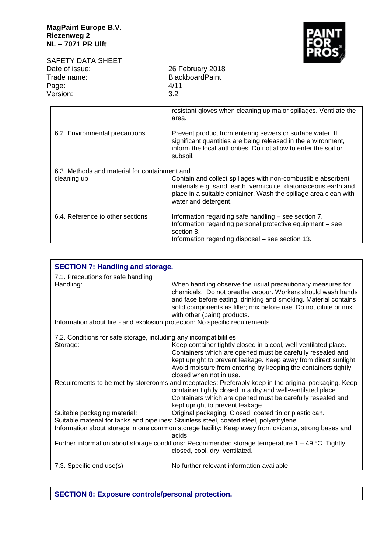

| SAFETY DATA SHEET<br>Date of issue:<br>Trade name:<br>Page:<br>Version: | <b>IVEC</b><br>26 February 2018<br><b>BlackboardPaint</b><br>4/11<br>3.2                                                                                                                                                    |
|-------------------------------------------------------------------------|-----------------------------------------------------------------------------------------------------------------------------------------------------------------------------------------------------------------------------|
|                                                                         | resistant gloves when cleaning up major spillages. Ventilate the<br>area.                                                                                                                                                   |
| 6.2. Environmental precautions                                          | Prevent product from entering sewers or surface water. If<br>significant quantities are being released in the environment,<br>inform the local authorities. Do not allow to enter the soil or<br>subsoil.                   |
| 6.3. Methods and material for containment and<br>cleaning up            | Contain and collect spillages with non-combustible absorbent<br>materials e.g. sand, earth, vermiculite, diatomaceous earth and<br>place in a suitable container. Wash the spillage area clean with<br>water and detergent. |
| 6.4. Reference to other sections                                        | Information regarding safe handling - see section 7.<br>Information regarding personal protective equipment – see<br>section 8.<br>Information regarding disposal – see section 13.                                         |

| <b>SECTION 7: Handling and storage.</b>                                      |                                                                                                                                                                                                                                                                                                  |  |
|------------------------------------------------------------------------------|--------------------------------------------------------------------------------------------------------------------------------------------------------------------------------------------------------------------------------------------------------------------------------------------------|--|
| 7.1. Precautions for safe handling                                           |                                                                                                                                                                                                                                                                                                  |  |
| Handling:                                                                    | When handling observe the usual precautionary measures for<br>chemicals. Do not breathe vapour. Workers should wash hands<br>and face before eating, drinking and smoking. Material contains<br>solid components as filler; mix before use. Do not dilute or mix<br>with other (paint) products. |  |
| Information about fire - and explosion protection: No specific requirements. |                                                                                                                                                                                                                                                                                                  |  |
| 7.2. Conditions for safe storage, including any incompatibilities            |                                                                                                                                                                                                                                                                                                  |  |
| Storage:                                                                     | Keep container tightly closed in a cool, well-ventilated place.<br>Containers which are opened must be carefully resealed and<br>kept upright to prevent leakage. Keep away from direct sunlight<br>Avoid moisture from entering by keeping the containers tightly<br>closed when not in use.    |  |
|                                                                              | Requirements to be met by storerooms and receptacles: Preferably keep in the original packaging. Keep<br>container tightly closed in a dry and well-ventilated place.<br>Containers which are opened must be carefully resealed and<br>kept upright to prevent leakage.                          |  |
| Suitable packaging material:                                                 | Original packaging. Closed, coated tin or plastic can.                                                                                                                                                                                                                                           |  |
|                                                                              | Suitable material for tanks and pipelines: Stainless steel, coated steel, polyethylene.                                                                                                                                                                                                          |  |
|                                                                              | Information about storage in one common storage facility: Keep away from oxidants, strong bases and<br>acids.                                                                                                                                                                                    |  |
|                                                                              | Further information about storage conditions: Recommended storage temperature $1 - 49$ °C. Tightly<br>closed, cool, dry, ventilated.                                                                                                                                                             |  |
| 7.3. Specific end use(s)                                                     | No further relevant information available.                                                                                                                                                                                                                                                       |  |

**SECTION 8: Exposure controls/personal protection.**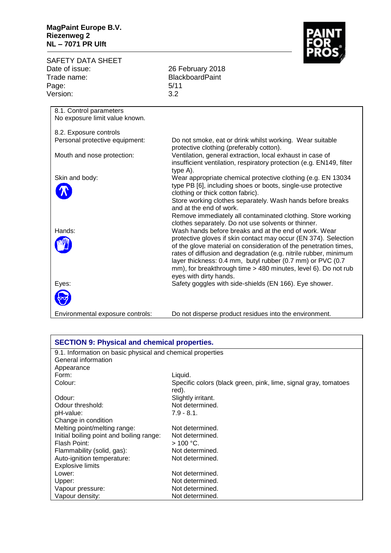## **MagPaint Europe B.V. Riezenweg 2 NL – 7071 PR Ulft**



|                                        | <b>SAFETY DATA SHEET</b>         |                                                                                                                    |  |
|----------------------------------------|----------------------------------|--------------------------------------------------------------------------------------------------------------------|--|
| Date of issue:<br>Trade name:<br>Page: |                                  | 26 February 2018                                                                                                   |  |
|                                        |                                  | <b>BlackboardPaint</b>                                                                                             |  |
|                                        |                                  | 5/11                                                                                                               |  |
|                                        | Version:                         | 3.2                                                                                                                |  |
|                                        |                                  |                                                                                                                    |  |
|                                        | 8.1. Control parameters          |                                                                                                                    |  |
|                                        | No exposure limit value known.   |                                                                                                                    |  |
|                                        | 8.2. Exposure controls           |                                                                                                                    |  |
|                                        | Personal protective equipment:   | Do not smoke, eat or drink whilst working. Wear suitable<br>protective clothing (preferably cotton).               |  |
|                                        | Mouth and nose protection:       | Ventilation, general extraction, local exhaust in case of                                                          |  |
|                                        |                                  | insufficient ventilation, respiratory protection (e.g. EN149, filter<br>type A).                                   |  |
|                                        | Skin and body:                   | Wear appropriate chemical protective clothing (e.g. EN 13034                                                       |  |
|                                        |                                  | type PB [6], including shoes or boots, single-use protective<br>clothing or thick cotton fabric).                  |  |
|                                        |                                  | Store working clothes separately. Wash hands before breaks<br>and at the end of work.                              |  |
|                                        |                                  | Remove immediately all contaminated clothing. Store working<br>clothes separately. Do not use solvents or thinner. |  |
|                                        | Hands:                           | Wash hands before breaks and at the end of work. Wear                                                              |  |
|                                        |                                  | protective gloves if skin contact may occur (EN 374). Selection                                                    |  |
|                                        |                                  | of the glove material on consideration of the penetration times,                                                   |  |
|                                        |                                  | rates of diffusion and degradation (e.g. nitrile rubber, minimum                                                   |  |
|                                        |                                  | layer thickness: 0.4 mm, butyl rubber (0.7 mm) or PVC (0.7                                                         |  |
|                                        |                                  | mm), for breakthrough time > 480 minutes, level 6). Do not rub                                                     |  |
|                                        | Eyes:                            | eyes with dirty hands.<br>Safety goggles with side-shields (EN 166). Eye shower.                                   |  |
|                                        |                                  |                                                                                                                    |  |
|                                        |                                  |                                                                                                                    |  |
|                                        | Environmental exposure controls: | Do not disperse product residues into the environment.                                                             |  |

| <b>SECTION 9: Physical and chemical properties.</b>        |                                                                 |  |
|------------------------------------------------------------|-----------------------------------------------------------------|--|
| 9.1. Information on basic physical and chemical properties |                                                                 |  |
| General information                                        |                                                                 |  |
| Appearance                                                 |                                                                 |  |
| Form:                                                      | Liquid.                                                         |  |
| Colour:                                                    | Specific colors (black green, pink, lime, signal gray, tomatoes |  |
|                                                            | red).                                                           |  |
| Odour:                                                     | Slightly irritant.                                              |  |
| Odour threshold:                                           | Not determined.                                                 |  |
| pH-value:                                                  | $7.9 - 8.1$ .                                                   |  |
| Change in condition                                        |                                                                 |  |
| Melting point/melting range:                               | Not determined.                                                 |  |
| Initial boiling point and boiling range:                   | Not determined.                                                 |  |
| Flash Point:                                               | $>$ 100 °C.                                                     |  |
| Flammability (solid, gas):                                 | Not determined.                                                 |  |
| Auto-ignition temperature:                                 | Not determined.                                                 |  |
| <b>Explosive limits</b>                                    |                                                                 |  |
| Lower:                                                     | Not determined.                                                 |  |
| Upper:                                                     | Not determined.                                                 |  |
| Vapour pressure:                                           | Not determined.                                                 |  |
| Vapour density:                                            | Not determined.                                                 |  |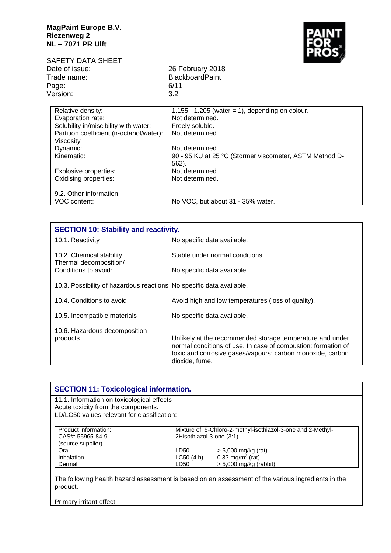

| SAFETY DATA SHEET                                     |                                                                  |  |  |
|-------------------------------------------------------|------------------------------------------------------------------|--|--|
| Date of issue:                                        | 26 February 2018                                                 |  |  |
| Trade name:                                           | <b>BlackboardPaint</b>                                           |  |  |
| Page:                                                 | 6/11                                                             |  |  |
| Version:                                              | 3.2                                                              |  |  |
| Relative density:                                     | 1.155 - 1.205 (water = 1), depending on colour.                  |  |  |
| Evaporation rate:                                     | Not determined.                                                  |  |  |
| Solubility in/miscibility with water:                 | Freely soluble.                                                  |  |  |
| Partition coefficient (n-octanol/water):<br>Viscosity | Not determined.                                                  |  |  |
| Dynamic:                                              | Not determined.                                                  |  |  |
| Kinematic:                                            | 90 - 95 KU at 25 °C (Stormer viscometer, ASTM Method D-<br>562). |  |  |
| Explosive properties:                                 | Not determined.                                                  |  |  |
| Oxidising properties:                                 | Not determined.                                                  |  |  |
| 9.2. Other information                                |                                                                  |  |  |
| VOC content:                                          | No VOC, but about 31 - 35% water.                                |  |  |

| <b>SECTION 10: Stability and reactivity.</b>                               |                                                                                                                                                                                                            |  |
|----------------------------------------------------------------------------|------------------------------------------------------------------------------------------------------------------------------------------------------------------------------------------------------------|--|
| 10.1. Reactivity                                                           | No specific data available.                                                                                                                                                                                |  |
| 10.2. Chemical stability<br>Thermal decomposition/<br>Conditions to avoid: | Stable under normal conditions.                                                                                                                                                                            |  |
|                                                                            | No specific data available.                                                                                                                                                                                |  |
| 10.3. Possibility of hazardous reactions No specific data available.       |                                                                                                                                                                                                            |  |
| 10.4. Conditions to avoid                                                  | Avoid high and low temperatures (loss of quality).                                                                                                                                                         |  |
| 10.5. Incompatible materials                                               | No specific data available.                                                                                                                                                                                |  |
| 10.6. Hazardous decomposition<br>products                                  | Unlikely at the recommended storage temperature and under<br>normal conditions of use. In case of combustion: formation of<br>toxic and corrosive gases/vapours: carbon monoxide, carbon<br>dioxide, fume. |  |

| <b>SECTION 11: Toxicological information.</b> |           |                                                              |  |  |
|-----------------------------------------------|-----------|--------------------------------------------------------------|--|--|
| 11.1. Information on toxicological effects    |           |                                                              |  |  |
| Acute toxicity from the components.           |           |                                                              |  |  |
| LD/LC50 values relevant for classification:   |           |                                                              |  |  |
|                                               |           |                                                              |  |  |
| Product information:                          |           | Mixture of: 5-Chloro-2-methyl-isothiazol-3-one and 2-Methyl- |  |  |
| CAS#: 55965-84-9                              |           | 2Hisothiazol-3-one (3:1)                                     |  |  |
| (source supplier)                             |           |                                                              |  |  |
| Oral                                          | LD50      | $> 5,000$ mg/kg (rat)                                        |  |  |
|                                               | LC50(4 h) | 0.33 mg/m <sup>3</sup> (rat)                                 |  |  |
| Inhalation                                    |           |                                                              |  |  |

The following health hazard assessment is based on an assessment of the various ingredients in the product.

Primary irritant effect.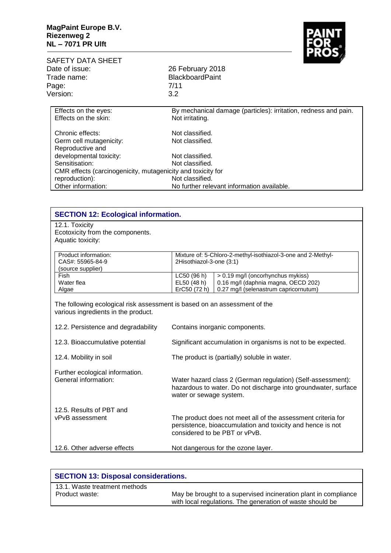

|                                                             | PROS                                                                               |  |
|-------------------------------------------------------------|------------------------------------------------------------------------------------|--|
| SAFETY DATA SHEET<br>Date of issue:<br>Trade name:          | 26 February 2018<br><b>BlackboardPaint</b>                                         |  |
| Page:                                                       | 7/11                                                                               |  |
| Version:                                                    | 3.2                                                                                |  |
| Effects on the eyes:<br>Effects on the skin:                | By mechanical damage (particles): irritation, redness and pain.<br>Not irritating. |  |
|                                                             |                                                                                    |  |
| Chronic effects:                                            | Not classified.                                                                    |  |
| Germ cell mutagenicity:<br>Reproductive and                 | Not classified.                                                                    |  |
| developmental toxicity:                                     | Not classified.                                                                    |  |
| Sensitisation:                                              | Not classified.                                                                    |  |
| CMR effects (carcinogenicity, mutagenicity and toxicity for |                                                                                    |  |
| reproduction):                                              | Not classified.                                                                    |  |
| Other information:                                          | No further relevant information available.                                         |  |

| <b>SECTION 12: Ecological information.</b>                                                                    |                                                                                                                                                             |  |
|---------------------------------------------------------------------------------------------------------------|-------------------------------------------------------------------------------------------------------------------------------------------------------------|--|
| 12.1. Toxicity                                                                                                |                                                                                                                                                             |  |
| Ecotoxicity from the components.                                                                              |                                                                                                                                                             |  |
| Aquatic toxicity:                                                                                             |                                                                                                                                                             |  |
| Product information:<br>CAS#: 55965-84-9<br>(source supplier)                                                 | Mixture of: 5-Chloro-2-methyl-isothiazol-3-one and 2-Methyl-<br>2Hisothiazol-3-one (3:1)                                                                    |  |
| Fish                                                                                                          | LC50 (96 h)<br>> 0.19 mg/l (oncorhynchus mykiss)                                                                                                            |  |
| Water flea                                                                                                    | 0.16 mg/l (daphnia magna, OECD 202)<br>EL50 (48 h)                                                                                                          |  |
| Algae                                                                                                         | ErC50 (72 h)<br>0.27 mg/l (selenastrum capricornutum)                                                                                                       |  |
| various ingredients in the product.<br>12.2. Persistence and degradability<br>12.3. Bioaccumulative potential | Contains inorganic components.<br>Significant accumulation in organisms is not to be expected.                                                              |  |
| 12.4. Mobility in soil                                                                                        | The product is (partially) soluble in water.                                                                                                                |  |
| Further ecological information.<br>General information:                                                       | Water hazard class 2 (German regulation) (Self-assessment):<br>hazardous to water. Do not discharge into groundwater, surface<br>water or sewage system.    |  |
| 12.5. Results of PBT and<br>vPvB assessment                                                                   | The product does not meet all of the assessment criteria for<br>persistence, bioaccumulation and toxicity and hence is not<br>considered to be PBT or vPvB. |  |
| 12.6. Other adverse effects                                                                                   | Not dangerous for the ozone layer.                                                                                                                          |  |

| <b>SECTION 13: Disposal considerations.</b> |                                                                                                                              |  |
|---------------------------------------------|------------------------------------------------------------------------------------------------------------------------------|--|
| 13.1. Waste treatment methods               |                                                                                                                              |  |
| Product waste:                              | May be brought to a supervised incineration plant in compliance<br>with local regulations. The generation of waste should be |  |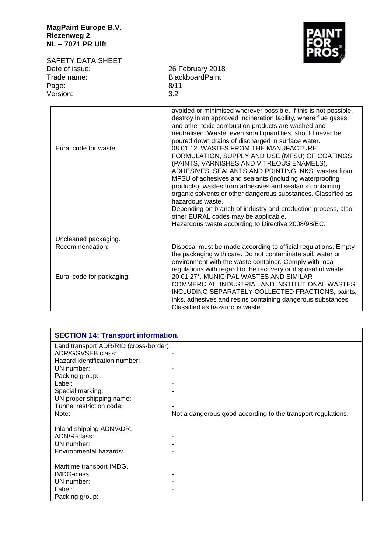

| <b>SAFETY DATA SHEET</b><br>Date of issue:<br>Trade name:<br>Page:<br>Version: | <b>PRUS</b><br>26 February 2018<br><b>BlackboardPaint</b><br>8/11<br>3.2                                                                                                                                                                                                                                                                                                                                                                                                                                                                                                                                                                                                                                                                                                                                                                                                              |
|--------------------------------------------------------------------------------|---------------------------------------------------------------------------------------------------------------------------------------------------------------------------------------------------------------------------------------------------------------------------------------------------------------------------------------------------------------------------------------------------------------------------------------------------------------------------------------------------------------------------------------------------------------------------------------------------------------------------------------------------------------------------------------------------------------------------------------------------------------------------------------------------------------------------------------------------------------------------------------|
| Eural code for waste:                                                          | avoided or minimised wherever possible. If this is not possible,<br>destroy in an approved incineration facility, where flue gases<br>and other toxic combustion products are washed and<br>neutralised. Waste, even small quantities, should never be<br>poured down drains of discharged in surface water.<br>08 01 12. WASTES FROM THE MANUFACTURE,<br>FORMULATION, SUPPLY AND USE (MFSU) OF COATINGS<br>(PAINTS, VARNISHES AND VITREOUS ENAMELS),<br>ADHESIVES, SEALANTS AND PRINTING INKS, wastes from<br>MFSU of adhesives and sealants (including waterproofing<br>products), wastes from adhesives and sealants containing<br>organic solvents or other dangerous substances. Classified as<br>hazardous waste.<br>Depending on branch of industry and production process, also<br>other EURAL codes may be applicable.<br>Hazardous waste according to Directive 2008/98/EC. |
| Uncleaned packaging.                                                           |                                                                                                                                                                                                                                                                                                                                                                                                                                                                                                                                                                                                                                                                                                                                                                                                                                                                                       |
| Recommendation:                                                                | Disposal must be made according to official regulations. Empty<br>the packaging with care. Do not contaminate soil, water or<br>environment with the waste container. Comply with local<br>regulations with regard to the recovery or disposal of waste.                                                                                                                                                                                                                                                                                                                                                                                                                                                                                                                                                                                                                              |
| Eural code for packaging:                                                      | 20 01 27*. MUNICIPAL WASTES AND SIMILAR<br>COMMERCIAL, INDUSTRIAL AND INSTITUTIONAL WASTES<br>INCLUDING SEPARATELY COLLECTED FRACTIONS, paints,<br>inks, adhesives and resins containing dangerous substances.<br>Classified as hazardous waste.                                                                                                                                                                                                                                                                                                                                                                                                                                                                                                                                                                                                                                      |

| <b>SECTION 14: Transport information.</b> |                                                              |  |
|-------------------------------------------|--------------------------------------------------------------|--|
| Land transport ADR/RID (cross-border).    |                                                              |  |
| ADR/GGVSEB class:                         |                                                              |  |
| Hazard identification number:             |                                                              |  |
| UN number:                                |                                                              |  |
| Packing group:                            |                                                              |  |
| Label:                                    |                                                              |  |
| Special marking:                          |                                                              |  |
| UN proper shipping name:                  |                                                              |  |
| Tunnel restriction code:                  |                                                              |  |
| Note:                                     | Not a dangerous good according to the transport regulations. |  |
|                                           |                                                              |  |
| Inland shipping ADN/ADR.                  |                                                              |  |
| ADN/R-class:                              |                                                              |  |
| UN number:                                |                                                              |  |
| Environmental hazards:                    |                                                              |  |
|                                           |                                                              |  |
| Maritime transport IMDG.                  |                                                              |  |
| IMDG-class:                               |                                                              |  |
| UN number:                                |                                                              |  |
| Label:                                    |                                                              |  |
| Packing group:                            |                                                              |  |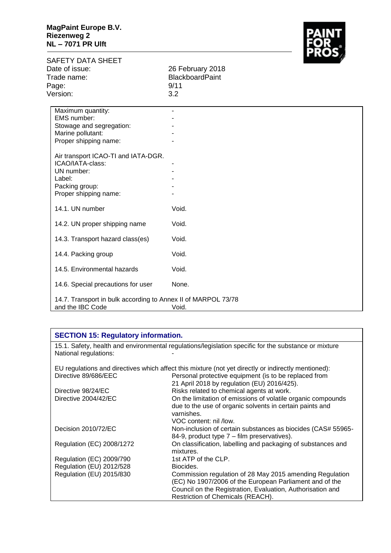

| SAFETY DATA SHEET                                                                 |                        | $\mathbf{m}{\boldsymbol{\omega}}$ |
|-----------------------------------------------------------------------------------|------------------------|-----------------------------------|
| Date of issue:                                                                    | 26 February 2018       |                                   |
| Trade name:                                                                       | <b>BlackboardPaint</b> |                                   |
| Page:                                                                             | 9/11                   |                                   |
| Version:                                                                          | 3.2                    |                                   |
| Maximum quantity:                                                                 | ٠                      |                                   |
| EMS number:                                                                       |                        |                                   |
| Stowage and segregation:                                                          |                        |                                   |
| Marine pollutant:                                                                 |                        |                                   |
| Proper shipping name:                                                             |                        |                                   |
| Air transport ICAO-TI and IATA-DGR.                                               |                        |                                   |
| ICAO/IATA-class:                                                                  |                        |                                   |
| UN number:                                                                        |                        |                                   |
| Label:                                                                            |                        |                                   |
| Packing group:                                                                    |                        |                                   |
| Proper shipping name:                                                             |                        |                                   |
| 14.1. UN number                                                                   | Void.                  |                                   |
| 14.2. UN proper shipping name                                                     | Void.                  |                                   |
| 14.3. Transport hazard class(es)                                                  | Void.                  |                                   |
| 14.4. Packing group                                                               | Void.                  |                                   |
| 14.5. Environmental hazards                                                       | Void.                  |                                   |
| 14.6. Special precautions for user                                                | None.                  |                                   |
| 14.7. Transport in bulk according to Annex II of MARPOL 73/78<br>and the IBC Code | Void.                  |                                   |

## **SECTION 15: Regulatory information.**

15.1. Safety, health and environmental regulations/legislation specific for the substance or mixture National regulations:

EU regulations and directives which affect this mixture (not yet directly or indirectly mentioned): Directive 89/686/EEC **Personal protective equipment (is to be replaced from** 

| 21 April 2018 by regulation (EU) 2016/425).                  |
|--------------------------------------------------------------|
| Risks related to chemical agents at work.                    |
| On the limitation of emissions of volatile organic compounds |
| due to the use of organic solvents in certain paints and     |
| varnishes.                                                   |
| VOC content: nil /low.                                       |
| Non-inclusion of certain substances as biocides (CAS# 55965- |
| 84-9, product type 7 – film preservatives).                  |
| On classification, labelling and packaging of substances and |
| mixtures.                                                    |
| 1st ATP of the CLP.                                          |
| Biocides.                                                    |
| Commission regulation of 28 May 2015 amending Regulation     |
| (EC) No 1907/2006 of the European Parliament and of the      |
| Council on the Registration, Evaluation, Authorisation and   |
| Restriction of Chemicals (REACH).                            |
|                                                              |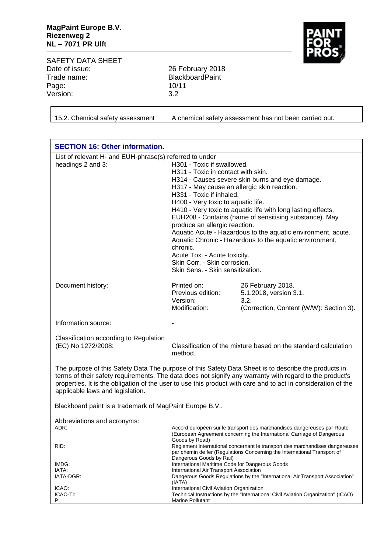

SAFETY DATA SHEET<br>Date of issue: Date of issue: 26 February 2018<br>Trade name: 2018<br>BlackboardPaint Page: Version: 3.2

BlackboardPaint<br>10/11

15.2. Chemical safety assessment A chemical safety assessment has not been carried out.

| <b>SECTION 16: Other information.</b>                                                                                                                                                                                                                                                                                                                                |                                                                                                                                                                                                                                                                                                                                                                                                                                                                                                                                                                                                                                            |                                                                                                |  |
|----------------------------------------------------------------------------------------------------------------------------------------------------------------------------------------------------------------------------------------------------------------------------------------------------------------------------------------------------------------------|--------------------------------------------------------------------------------------------------------------------------------------------------------------------------------------------------------------------------------------------------------------------------------------------------------------------------------------------------------------------------------------------------------------------------------------------------------------------------------------------------------------------------------------------------------------------------------------------------------------------------------------------|------------------------------------------------------------------------------------------------|--|
| List of relevant H- and EUH-phrase(s) referred to under<br>headings 2 and 3:                                                                                                                                                                                                                                                                                         | H301 - Toxic if swallowed.<br>H311 - Toxic in contact with skin.<br>H314 - Causes severe skin burns and eye damage.<br>H317 - May cause an allergic skin reaction.<br>H331 - Toxic if inhaled.<br>H400 - Very toxic to aquatic life.<br>H410 - Very toxic to aquatic life with long lasting effects.<br>EUH208 - Contains (name of sensitising substance). May<br>produce an allergic reaction.<br>Aquatic Acute - Hazardous to the aquatic environment, acute.<br>Aquatic Chronic - Hazardous to the aquatic environment,<br>chronic.<br>Acute Tox. - Acute toxicity.<br>Skin Corr. - Skin corrosion.<br>Skin Sens. - Skin sensitization. |                                                                                                |  |
| Document history:                                                                                                                                                                                                                                                                                                                                                    | Printed on:<br>Previous edition:<br>Version:<br>Modification:                                                                                                                                                                                                                                                                                                                                                                                                                                                                                                                                                                              | 26 February 2018.<br>5.1.2018, version 3.1.<br>3.2.<br>(Correction, Content (W/W): Section 3). |  |
| Information source:                                                                                                                                                                                                                                                                                                                                                  |                                                                                                                                                                                                                                                                                                                                                                                                                                                                                                                                                                                                                                            |                                                                                                |  |
| Classification according to Regulation<br>(EC) No 1272/2008:                                                                                                                                                                                                                                                                                                         | Classification of the mixture based on the standard calculation<br>method.                                                                                                                                                                                                                                                                                                                                                                                                                                                                                                                                                                 |                                                                                                |  |
| The purpose of this Safety Data The purpose of this Safety Data Sheet is to describe the products in<br>terms of their safety requirements. The data does not signify any warranty with regard to the product's<br>properties. It is the obligation of the user to use this product with care and to act in consideration of the<br>applicable laws and legislation. |                                                                                                                                                                                                                                                                                                                                                                                                                                                                                                                                                                                                                                            |                                                                                                |  |
| Blackboard paint is a trademark of MagPaint Europe B.V                                                                                                                                                                                                                                                                                                               |                                                                                                                                                                                                                                                                                                                                                                                                                                                                                                                                                                                                                                            |                                                                                                |  |
| Abbreviations and acronyms:<br>ADR:<br>RID:                                                                                                                                                                                                                                                                                                                          | Accord européen sur le transport des marchandises dangereuses par Route<br>(European Agreement concerning the International Carriage of Dangerous<br>Goods by Road)<br>Règlement international concernant le transport des marchandises dangereuses<br>par chemin de fer (Regulations Concerning the International Transport of<br>Dangerous Goods by Rail)<br>International Maritime Code for Dangerous Goods<br>International Air Transport Association<br>Dangerous Goods Regulations by the "International Air Transport Association"                                                                                                  |                                                                                                |  |
| IMDG:<br>IATA:<br>IATA-DGR:                                                                                                                                                                                                                                                                                                                                          |                                                                                                                                                                                                                                                                                                                                                                                                                                                                                                                                                                                                                                            |                                                                                                |  |
| ICAO:<br>ICAO-TI:<br>P:                                                                                                                                                                                                                                                                                                                                              | (IATA)<br>International Civil Aviation Organization<br>Marine Pollutant                                                                                                                                                                                                                                                                                                                                                                                                                                                                                                                                                                    | Technical Instructions by the "International Civil Aviation Organization" (ICAO)               |  |